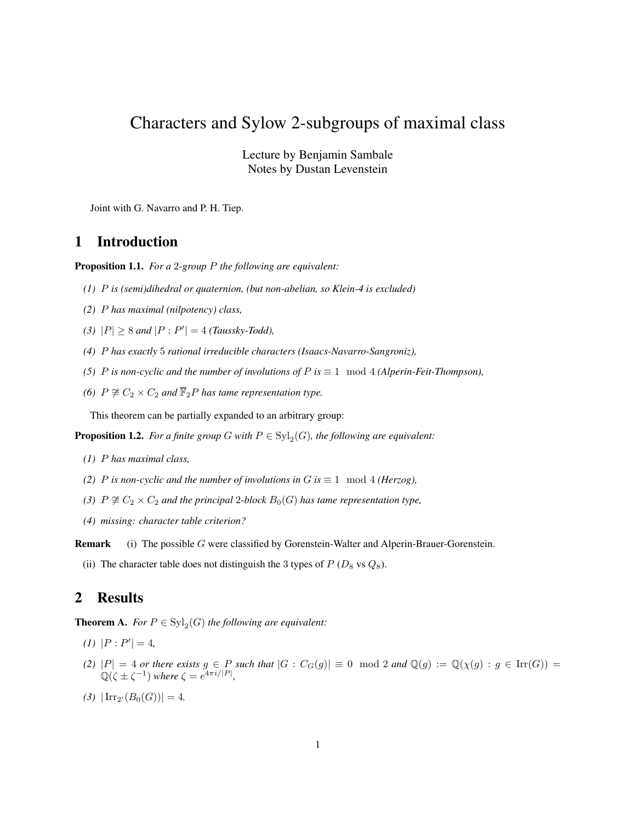# Characters and Sylow 2-subgroups of maximal class

Lecture by Benjamin Sambale Notes by Dustan Levenstein

Joint with G. Navarro and P. H. Tiep.

### 1 Introduction

Proposition 1.1. *For a* 2*-group* P *the following are equivalent:*

- *(1)* P *is (semi)dihedral or quaternion, (but non-abelian, so Klein-4 is excluded)*
- *(2)* P *has maximal (nilpotency) class,*
- *(3)*  $|P| \ge 8$  *and*  $|P : P'| = 4$  *(Taussky-Todd),*
- *(4)* P *has exactly* 5 *rational irreducible characters (Isaacs-Navarro-Sangroniz),*
- *(5) P is non-cyclic and the number of involutions of*  $P$  *is*  $\equiv$  1 mod 4 *(Alperin-Feit-Thompson)*,
- *(6)*  $P \not\cong C_2 \times C_2$  *and*  $\overline{\mathbb{F}}_2P$  *has tame representation type.*

This theorem can be partially expanded to an arbitrary group:

**Proposition 1.2.** For a finite group G with  $P \in \mathrm{Syl}_2(G)$ , the following are equivalent:

- *(1)* P *has maximal class,*
- *(2) P is non-cyclic and the number of involutions in*  $G$  *is*  $\equiv$  1 mod 4 *(Herzog),*
- *(3)*  $P \not\cong C_2 \times C_2$  *and the principal* 2*-block*  $B_0(G)$  *has tame representation type,*
- *(4) missing: character table criterion?*

Remark (i) The possible G were classified by Gorenstein-Walter and Alperin-Brauer-Gorenstein.

(ii) The character table does not distinguish the 3 types of  $P(D_8 \text{ vs } Q_8)$ .

## 2 Results

<span id="page-0-0"></span>**Theorem A.** *For*  $P \in \text{Syl}_2(G)$  *the following are equivalent:* 

- $(I)$   $|P: P'| = 4,$
- *(2)*  $|P| = 4$  *or there exists*  $g \in P$  *such that*  $|G : C_G(g)| \equiv 0 \mod 2$  *and*  $\mathbb{Q}(g) := \mathbb{Q}(\chi(g) : g \in \text{Irr}(G))$  $\mathbb{Q}(\zeta \pm \zeta^{-1})$  where  $\zeta = e^{4\pi i/|P|}$ ,
- $(3)$   $|\operatorname{Irr}_{2'}(B_0(G))|=4.$